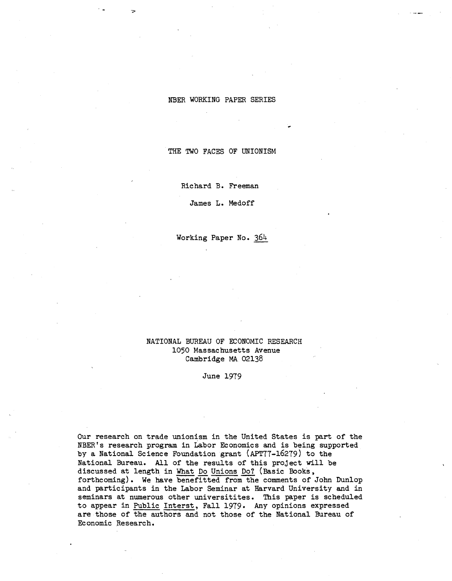## NBER WORKING PAPER SERIES

THE TWO FACES OF UNIONISM

Richard B. Freeman

James L. Medoff

Working Paper No. 364

# NATIONAL BUREAU OF ECONOMIC RESEARCH 1050 Massachusetts Avenue Cambridge MA 02138

June 1979

Our research on trade unionism in the United States is part of the NBER's research program in Labor Economics and is being supported by a National Science Foundation grant (APT77-16279) to the National Bureau. All of the results of this project will be discussed at length in What Do Unions Do? (Basic Books, forthcoming). We have benefitted from the comments of John Dunlop and participants in the Labor Seminar at Harvard University and in seminars at numerous other universitites. This paper is scheduled to appear in Public Interst, Fall 1979. Any opinions expressed are those of the authors and not those of the National Bureau of Economic Research.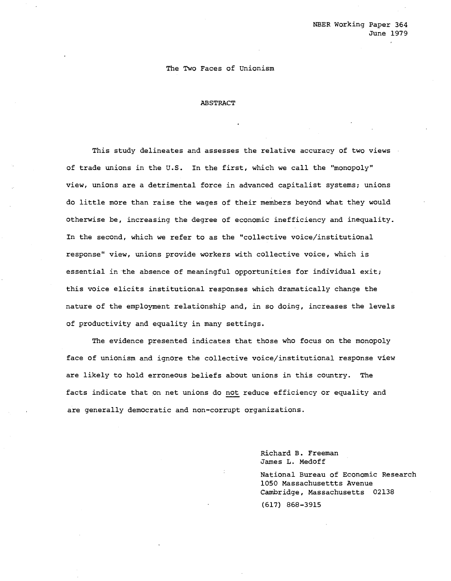## The Two Faces of Unionism

#### ABSTRACT

This study delineates and assesses the relative accuracy of two views of trade unions in the U.S. In the first, which we call the "monopoly" view, unions are a detrimental force in advanced capitalist systems; unions do little more than raise the wages of their members beyond what they would otherwise be, increasing the degree of economic inefficiency and inequality. In the second, which we refer to as the "collective voice/institutional response" view, unions provide workers with collective voice, which is essential in the absence of meaningful opportunities for individual exit; this voice elicits institutional responses which dramatically change the nature of the employment relationship and, in so doing, increases the levels of productivity and equality in many settings.

The evidence presented indicates that those who focus on the monopoly face of unionism and ignore the collective voice/institutional response view are likely to hold erroneous beliefs about unions in this country. The facts indicate that on net unions do not reduce efficiency or equality and are generally democratic and non-corrupt organizations.

> Richard B. Freeman James L. Medoff

National Bureau of Economic Research 1050 Massachusettts Avenue Cambridge, Massachusetts 02138 (617) 868-3915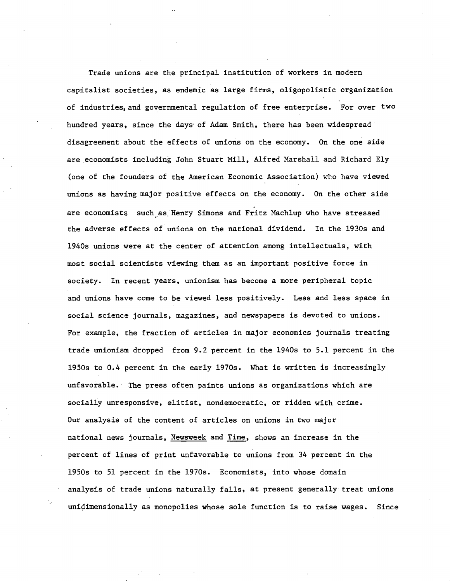Trade unions are the principal institution of workers in modern capitalist societies, as endemic as large firms, oligopolistic organization of industries,and governmental regulation of free enterprise. For over two hundred years, since the days' of Adam Smith, there has been widespread disagreement about the effects of unions on the economy. On the one side are economists including John Stuart Mill, Alfred Marshall and Richard Ely (one of the founders of the American Economic Association) who have viewed unions as having major positive effects on the economy. On the other side are economists such as Henry Simons and Fritz Machlup who have stressed the adverse effects of unions on the national dividend. In the 1930s and 1940s unions were at the center of attention among intellectuals, with most social scientists viewing them as an important positive force in society. In recent years, unionism has become a more peripheral topic and unions have come to be viewed less positively. Less and less space in social science journals, magazines, and newspapers is devoted to unions. For example, the fraction of articles in major economics journals treating trade unionism dropped from 9.2 percent in the 1940s to 5.1 percent in the 1950s to 0.4 percent in the early 1970s. What is written is increasingly unfavorable. The press often paints unions as organizations which are socially unresponsive, elitist, nondemocratic, or ridden with crime. Our analysis of the content of articles on unions in two major national news journals, Newsweek and Time, shows an increase in the percent of lines of print unfavorable to unions from 34 percent in the 1950s to 51 percent in the 1970s. Economists, into whose domain analysis of trade unions naturally falls, at present generally treat unions unidimensionally as monopolies whose sole function is to raise wages. Since

'-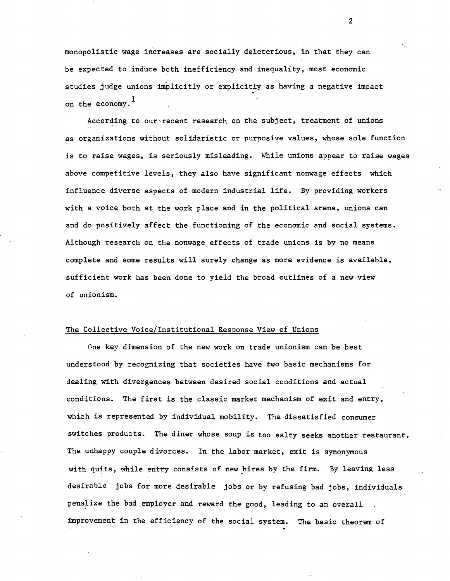monopolistic wage increases are socially deleterious, in that they can be expected to induce both inefficiency and inequality, most economic studies judge unions implicitly or explicitly as having a negative impact on the economy. $^{\rm 1}$ 

According to our'recent research on the subject, treatment of unions as organizations without solidaristic or purposive values, whose sole function is to raise wages, is seriously misleading. While unions appear to raise wages above competitive levels, they also have significant nonwage effects which influence diverse aspects of modern industrial life. By providing workers with a voice both at the work place and in the political arena, unions can and do positively affect the functioning of the economic and social systems. Although research on the nonwage effects of trade unions is by no means complete and some results will surely change as more evidence is available, sufficient work has been done to yield the broad outlines of a new view of unionism.

## The Collective Voice/Institutional Response View of Unions

One key dimension of the new work on trade unionism can be best understood by recognizing that societies have two basic mechanisms for dealing with divergences between desired social conditions and actual conditions. The first is the classic market mechanism of exit and entry, which is represented by individual mobility. The dissatisfied consumer switches products. The diner whose soup is too salty seeks another restaurant. The unhappy couple divorces. In the labor market, exit is synonymous with quits, while entry consists of new hires by the firm. By leaving less desirable jobs for more desirable jobs or by refusing bad jobs, individuals penalize the bad employer and reward the good, leading to an overall improvement in the efficiency of the social system. The basic theorem of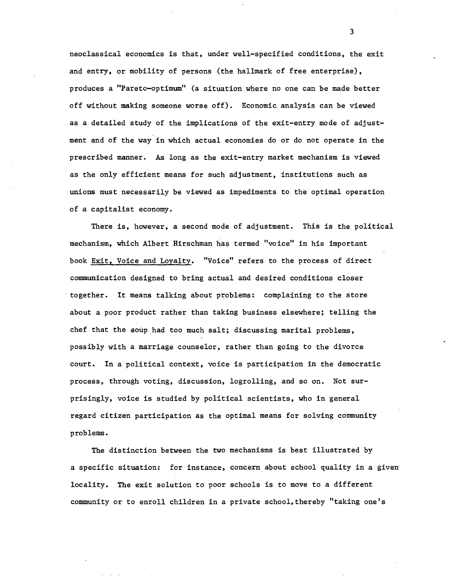neoclassical economics is that, under well-specified conditions, the exit and entry, or mobility of persons (the hallmark of free enterprise), produces a "Pareto-optimum" (a situation where no one can be made better off without making someone worse off). Economic analysis can be viewed as a detailed study of the implications of the exit-entry mode of adjustment and of the way in which actual economies do or do not operate in the prescribed manner. As long as the exit-entry market mechanism is viewed as the only efficient means for such adjustment, institutions such as unions must necessarily be viewed as impediments to the optimal operation of a capitalist economy.

There is, however, a second mode of adjustment. This is the political mechanism, which Albert Hirschman has termed "voice" in his important book Exit, Voice and Loyalty. "Voice" refers to the process of direct communication designed to bring actual and desired conditions closer . together. It means talking about problems: complaining to the store about a poor product rather than taking business elsewhere; telling the chef that the soup had too much salt; discussing marital problems, possibly with a marriage counselor, rather than going to the divorce court. In a political context, voice is participation in the democratic process, through voting, discussion, logrolling, and so on. Not surprisingly, voice is studied by political scientists, who in general regard citizen participation as the optimal means for solving community problems.

The distinction between the two mechanisms is best illustrated by a specific situation: for instance, concern about school quality in a given locality. The exit solution to poor schools is to move to a different community or to enroll children in a private school,thereby "taking one's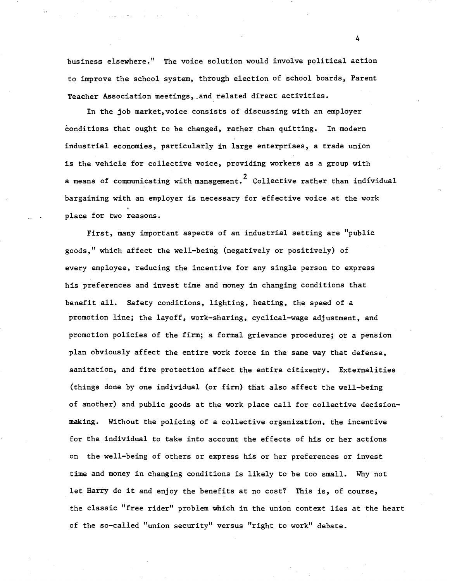business elsewhere." The voice solution would involve political action to improve the school system, through election of school boards, Parent Teacher Association meetings, .and related direct activities.

In the job market, voice consists of discussing with an employer conditions that ought to be changed, rather than quitting. In modern industrial economies, particularly in large enterprises, a trade union is the vehicle for collective voice, providing workers as a group with a means of communicating with management.<sup>2</sup> Collective rather than individual bargaining with an employer is necessary for effective voice at the work place for two reasons.

First, many important aspects of an industrial setting are "public goods," which affect the well-being (negatively or positively) of every employee, reducing the incentive for any single person to express his preferences and invest time and money in changing conditions that benefit all. Safety conditions, lighting, heating, the speed of a promotion line; the layoff, work-sharing, cyclical-wage adjustment, and promotion policies of the firm; a formal grievance procedure; or a pension plan obviously affect the entire work force in the same way that defense, sanitation, and fire protection affect the entire citizenry. Externalities (things done by one individual (or firm) that also affect the well-being of another) and public goods at the work place call for collective decisionmaking. Without the policing of a collective organization, the incentive for the individual to take into account the effects of his or her actions on the well-being of others or express his or her preferences or invest time and money in changing conditions is likely to be too small. Why not let Harry do it and enjoy the benefits at no cost? This is, of course, the classic "free rider" problem which in the union context lies at the heart of the so-called "union security" versus "right to work" debate.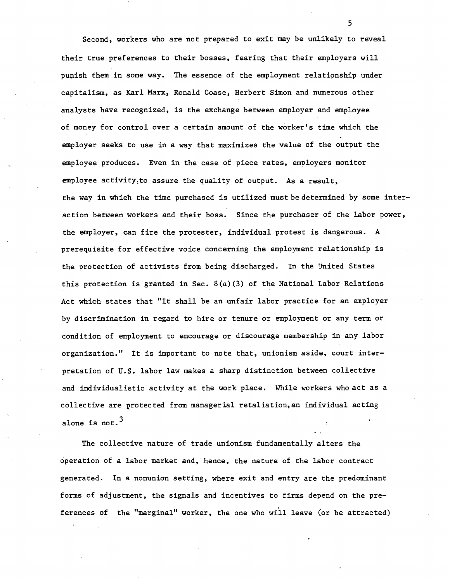Second, workers who are not prepared to exit may be unlikely to reveal their true preferences to their bosses, fearing that their employers will punish them in some way. The essence of the employment relationship under capitalism, as Karl Marx, Ronald Coase, Herbert Simon and numerous other analysts have recognized, is the exchange between employer and employee of money for control over a certain amount of the worker's time which the employer seeks to use in a way that maximizes the value of the output the employee produces. Even in the case of piece rates, employers monitor employee activity:to assure the quality of output. As a result, the way in which the time purchased is utilized must be determined by some interaction between workers and their boss. Since the purchaser of the labor power, the employer, can fire the protester, individual protest is dangerous. A prerequisite for effective voice concerning the employment relationship is the protection of activists from being discharged. In the United States this protection is granted in Sec.  $8(a)(3)$  of the National Labor Relations Act which states that "It shall be an unfair labor practice for an employer by discrimination in regard to hire or tenure or employment or any term or condition of employment to encourage or discourage membership in any labor organization." It is important to note that, unionism aside, court interpretation of U.S. labor law makes a sharp distinction between collective and individualistic activity at the work place. While workers who act as a collective are protected from managerial retaliation, an individual acting alone is not.<sup>3</sup>

The collective nature of trade unionism fundamentally alters the operation of a labor market and, hence, the nature of the labor contract generated. In a nonunion setting, where exit and entry are the predominant forms of adjustment, the signals and incentives to firms depend on the preferences of the "marginal" worker, the one who will leave (or be attracted)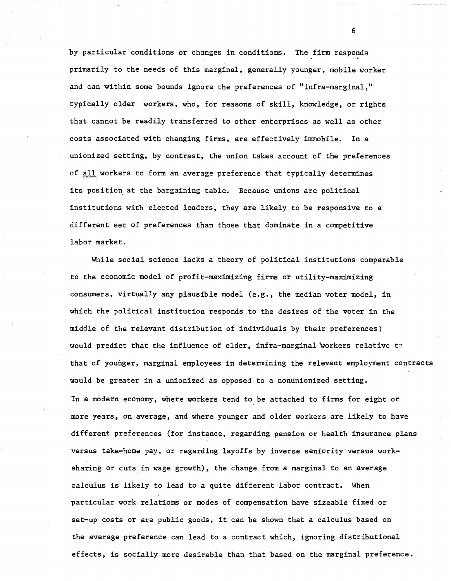by particular conditions or changes in conditions. The firm responds primarily to the needs of this marginal, generally younger, mobile worker and can within some bounds ignore the preferences of "infra-marginal," typically older workers, who, for reasons of skill, knowledge, or rights that cannot be readily transferred to other enterprises as well as other costs associated with changing firms, are effectively immobile. In a unionized setting, by contrast, the union takes account of the preferences of all workers to form an average preference that typically determines its position at the bargaining table. Because unions are political institutions with elected leaders, they are likely to be responsive to a different set of preferences than those that dominate in a competitive labor market.

While social science lacks a theory of political institutions comparable to the economic model of profit-maximizing firms or utility-maximizing consumers, virtually any plausible model (e.g., the median voter model, in which the political institution responds to the desires of the voter in the middle of the relevant distribution of individuals by their preferences) would predict that the influence of older, infra-marginal workers relative to that of younger, marginal employees in determining the relevant employment contracts would be greater in a unionized as opposed to a nonunionized setting. In a modern economy, where workers tend to be attached to firms for eight or more years, on average, and where younger and older workers are likely to have different preferences (for instance, regarding pension or health insurance plans versus take-home pay, or regarding layoffs by inverse seniority versus worksharing or cuts in wage growth), the change from a marginal to an average calculus is likely to lead to a quite different labor contract. When particular work relations or modes of compensation have sizeable fixed or set-up costs or are public goods, it can be shown that <sup>a</sup> calculus based on the average preference can lead to a contract which, ignoring distributional effects, is socially more desirable than that based on the marginal preference.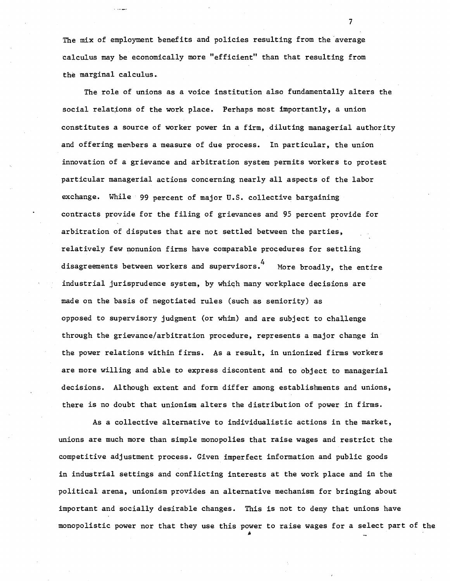The mix of employment benefits and policies resulting from the 'average calculus may be economically more "efficient" than that resulting from the marginal calculus.

More broadly, the entire The role of unions as a voice institution also fundamentally alters the social relations of the work place. Perhaps most importantly, a union constitutes a source of worker power in a firm, diluting managerial authority and offering members a measure of due process. In particular, the union innovation of a grievance and arbitration system permits workers to protest particular managerial actions concerning nearly all aspects of the labor exchange. While 99 percent of major U.S. collective bargaining contracts provide for the filing of grievances and 95 percent provide for arbitration of disputes that are not settled between the parties, relatively few nonunion firms have comparable procedures for settling disagreements between workers and supervisors.  $4$ industrial jurisprudence system, by whiqh many workplace decisions are made on the basis of negotiated rules (such as seniority) as opposed to supervisory judgment (or whim) and are subject to challenge through the grievance/arbitration procedure, represents a major change in the power relations within firms. As a result, in unionized firms workers are more willing and able to express discontent and to object to managerial decisions. Although extent and form differ among establishments and unions, there is no doubt that unionism alters the distribution of power in firms.

As a collective alternative to individualistic actions in the market, unions are much more than simple monopolies that raise wages and restrict the competitive adjustment process. Given imperfect information and public goods in industrial settings and conflicting interests at the work place and in the political arena, unionism provides an alternative mechanism for bringing about important and socially desirable changes. This is not to deny that unions have monopolistic power nor that they use this power to raise wages for a select part of the

IA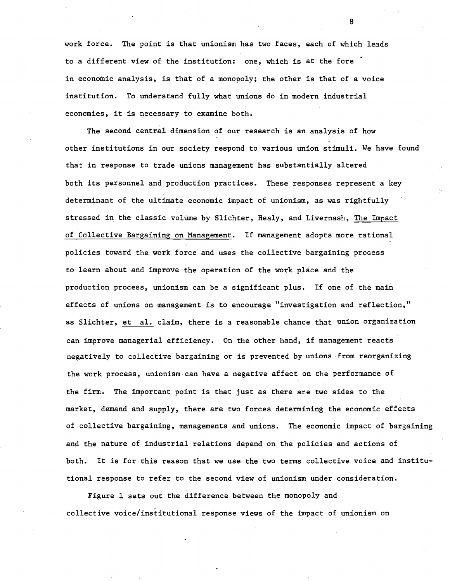work force. The point is that unionism has two faces, each of which leads to a different view of the institution: one, which is at the fore in economic analysis, is that of a monopoly; the other is that of a voice institution. To understand fully what unions do in modern industrial economies, it is necessary to examine both.

The second central dimension of our research is an analysis of how other institutions in our society respond to various union stimuli. We have found that in response to trade unions management has substantially altered both its personnel and production practices. These responses represent a key determinant of the ultimate economic impact of unionism, as was rightfully stressed in the classic volume by Slichter, Healy, and Livernash, The Impact of Collective Bargaining on Management. If management adopts more rational policies toward the work force and uses the collective bargaining process to learn about and improve the operation of the work place and the production process, unionism can be a significant plus. If one of the main effects of unions on management is to encourage "investigation and reflection," as Slichter, et al. claim, there is a reasonable chance that union organization can improve managerial efficiency. On the other hand, if management reacts negatively to collective bargaining or is prevented by unions ·from reorganizing the work process, unionism can have a negative affect on the performance of the firm. The important point is that just as there are two sides to the market, demand and supply, there are two'forces determining the economic effects of collective bargaining, managements and unions. The economic impact of bargaining and the nature of industrial relations depend on the policies and actions of both. It is for this reason that we use the two terms collective voice and institutional response to refer to the second view of unionism under consideration.

Figure I sets out the difference between the monopoly and collective voice/institutional response'views of the impact of unionism on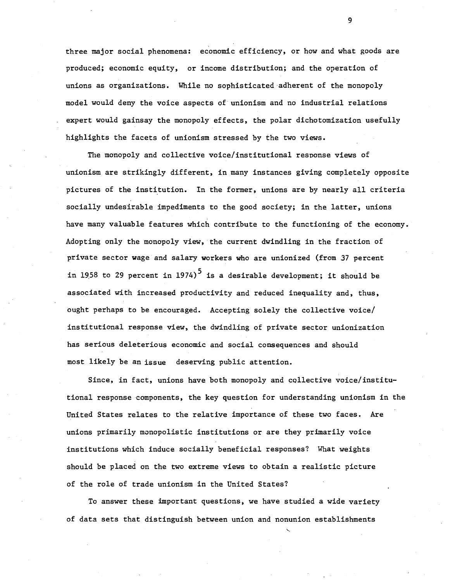three major social phenomena: economic efficiency, or how and what goods are produced; economic equity, or income distribution; and the operation of unions as organizations. While no sophisticated adherent of the monopoly model would deny the voice aspects of unionism and no industrial relations expert would gainsay the monopoly effects, the polar dichotomization usefully highlights the facets of unionism stressed by the two views.

The monopoly and collective voice/institutional response views of unionism are strikingly different, in many instances giving completely opposite pictures of the institution. In the former, unions are by nearly all criteria socially undesirable impediments to the good society; in the latter, unions have many valuable features which contribute to the functioning of the economy. Adopting only the monopoly view, the current dwindling in the fraction of private sector wage and salary workers who are unionized (from 37 percent in 1958 to 29 percent in 1974)<sup>5</sup> is a desirable development; it should be associated with increased productivity and reduced inequality and, thus, ought perhaps to be encouraged. Accepting solely the collective voice/ institutional response view, the dwindling of private sector unionization has serious deleterious economic and social consequences and should most likely be an issue deserving public attention.

Since, in fact, unions have both monopoly and collective voice/institutiona1 response components, the key question for understanding unionism in the United States relates to the relative importance of these two faces. Are unions primarily monopolistic institutions or are they primarily voice institutions which induce socially beneficial responses? What weights should be placed on the two extreme views to obtain a realistic picture of the role of trade unionism in the United States?

To answer these important questions, we have studied a wide variety of data sets that distinguish between union and nonunion establishments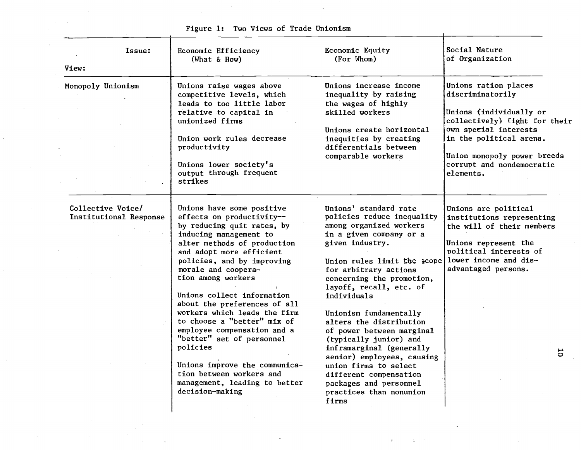| View:                                       | Issue: | Economic Efficiency<br>(What $\&$ How)                                                                                                                                                                                                                                                                                                                                                                                                                                                                                                                                     | Economic Equity<br>(For Whom)                                                                                                                                                                                                                                                                                                                                                                                                                                                                                                                      | Social Nature<br>of Organization                                                                                                                                                                                                  |
|---------------------------------------------|--------|----------------------------------------------------------------------------------------------------------------------------------------------------------------------------------------------------------------------------------------------------------------------------------------------------------------------------------------------------------------------------------------------------------------------------------------------------------------------------------------------------------------------------------------------------------------------------|----------------------------------------------------------------------------------------------------------------------------------------------------------------------------------------------------------------------------------------------------------------------------------------------------------------------------------------------------------------------------------------------------------------------------------------------------------------------------------------------------------------------------------------------------|-----------------------------------------------------------------------------------------------------------------------------------------------------------------------------------------------------------------------------------|
| Monopoly Unionism                           |        | Unions raise wages above<br>competitive levels, which<br>leads to too little labor<br>relative to capital in<br>unionized firms<br>Union work rules decrease<br>productivity<br>Unions lower society's<br>output through frequent<br>strikes                                                                                                                                                                                                                                                                                                                               | Unions increase income<br>inequality by raising<br>the wages of highly<br>skilled workers<br>Unions create horizontal<br>inequities by creating<br>differentials between<br>comparable workers                                                                                                                                                                                                                                                                                                                                                     | Unions ration places<br>discriminatorily<br>Unions (individually or<br>collectively) fight for their<br>own special interests<br>in the political arena.<br>Union monopoly power breeds<br>corrupt and nondemocratic<br>elements. |
| Collective Voice/<br>Institutional Response |        | Unions have some positive<br>effects on productivity--<br>by reducing quit rates, by<br>inducing management to<br>alter methods of production<br>and adopt more efficient<br>policies, and by improving<br>morale and coopera-<br>tion among workers<br>Unions collect information<br>about the preferences of all<br>workers which leads the firm<br>to choose a "better" mix of<br>employee compensation and a<br>"better" set of personnel<br>policies<br>Unions improve the communica-<br>tion between workers and<br>management, leading to better<br>decision-making | Unions' standard rate<br>policies reduce inequality<br>among organized workers<br>in a given company or a<br>given industry.<br>Union rules limit the acope<br>for arbitrary actions<br>concerning the promotion,<br>layoff, recall, etc. of<br>individuals<br>Unionism fundamentally<br>alters the distribution<br>of power between marginal<br>(typically junior) and<br>inframarginal (generally<br>senior) employees, causing<br>union firms to select<br>different compensation<br>packages and personnel<br>practices than nonunion<br>firms | Unions are political<br>institutions representing<br>the will of their members<br>Unions represent the<br>political interests of<br>lower income and dis-<br>advantaged persons.<br>5                                             |

 $\sim$ 

 $\infty$ 

Figure 1: Two Views of Trade Unionism

 $\bar{A}$ 

 $\sim$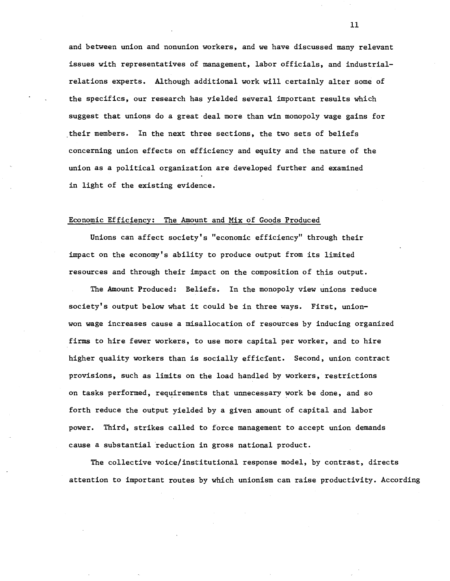and between union and nonunion workers, and we have discussed many relevant issues with representatives of management, labor officials, and industrialrelations experts. Although additional work will certainly alter some of the specifics, our research has yielded several important results which suggest that unions do a great deal more than win monopoly wage gains for their members. In the next three sections, the two sets of beliefs concerning union effects on efficiency and equity and the nature of the union as a political organization are developed further and examined in light of the existing evidence.

# Economic Efficiency: The Amount and Mix of Goods Produced

Unions can affect society's "economic efficiency" through their impact on the economy's ability to produce output from its limited resources and through their impact on the composition of this output.

The Amount Produced: Beliefs. In the monopoly view unions reduce society's output below what it could be in three ways. First, unionwon wage increases cause a misallocation of resources by inducing organized firms to hire fewer workers, to use more capital per worker, and to hire higher quality workers than is socially efficient. Second, union contract provisions, such as limits on the load handled by workers, restrictions on tasks performed, requirements that unnecessary work be done, and so forth reduce the output yielded by a given amount of capital and labor power. Third, strikes called to force management to accept union demands cause a substantial reduction in gross national product.

The collective voice/institutional response model, by contrast, directs attention to important routes by which unionism can raise productivity. According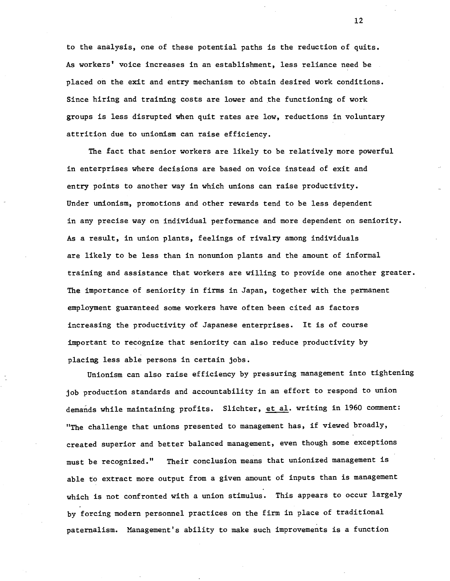to the analysis, one of these potential paths is the reduction of quits. *As* workers' voice increases in an establishment, less reliance need be placed on the exit and entry mechanism to obtain desired work conditions. Since hiring and training costs are lower and the functioning of work groups is less disrupted when quit rates are low, reductions in voluntary attrition due to unionism can raise efficiency.

The fact that senior workers are likely to be relatively more powerful in enterprises where decisions are based on voice instead of exit and entry points to another way in which unions can raise productivity. Under unionism, promotions and other rewards tend to be less dependent in any precise way on individual performance and more dependent on seniority. *As* a result, in union plants, feelings of rivalry among individuals are likely to be less than in nonunion plants and the amount of informal training and assistance that workers are willing to provide one another greater. The importance of seniority in firms in Japan, together with the permanent employment guaranteed some workers have often been cited as factors increasing the productivity of Japanese enterprises. It is of course important to recognize that seniority can also reduce productivity by placing less able persons in certain jobs.

Unionism can also raise efficiency by pressuring management into tightening job production standards and accountability in an effort to respond to union demands while maintaining profits. Slichter, et al. writing in 1960 comment: "The challenge that unions presented to management has, if viewed broadly, created superior and better balanced management, even though some exceptions must be recognized." Their conclusion means that unionized management is able to extract more output from a given amount of inputs than is management which is not confronted with a union stimulus. This appears to occur largely by forcing modern personnel practices on the firm in place of traditional paternalism. Management's ability to make such improvements is a function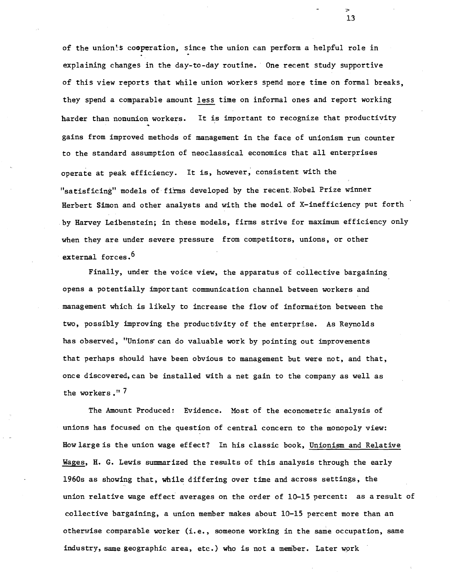of the union's cooperation, since the union can perform a helpful role in explaining changes in the day-to-day routine. One recent study supportive of this view reports that while union workers spend more time on formal breaks, they spend a comparable amount less time on informal ones and report working harder than nonunion workers. It is important to recognize that productivity gains from improved methods of management in the face of unionism run counter to the standard assumption of neoclassical economics that all enterprises operate at peak efficiency. It is, however, consistent with the "satisficing" models of firms developed by the recent Nobel Prize winner Herbert Simon and other analysts and with the model of X-inefficiency put forth .by Harvey Leibenstein; in these models, firms strive for maximum efficiency only when they are under severe pressure from competitors, unions, or other external forces.<sup>6</sup>

Finally, under the voice view, the apparatus of collective bargaining opens a potentially important communication channel between workers and management which is likely to increase the flow of information between the two, possibly improving the produccivity of the enterprise. As Reynolds has observed, "Unions can do valuable work by pointing out improvements that perhaps should have been obvious to management but were not, and that, once discovered, can be installed with a net gain to the company as well as the workers ." 7

The Amount Produced: Evidence. Most of the econometric analysis of unions has focused on the question of central concern to the monopoly view: How large is the union wage effect? In his classic book, Unionism and Relative Wages, H. G. Lewis summarized the results of this analysis through the early 1960s as showing that, while differing over time and across settings, the union relative wage effect averages on the order of 10-15 percent: as a result of collective bargaining, a union member makes about 10-15 percent more than an otherwise comparable worker (i.e., someone working in the same occupation, same industry, same geographic area, etc.) who is not a member. Later wprk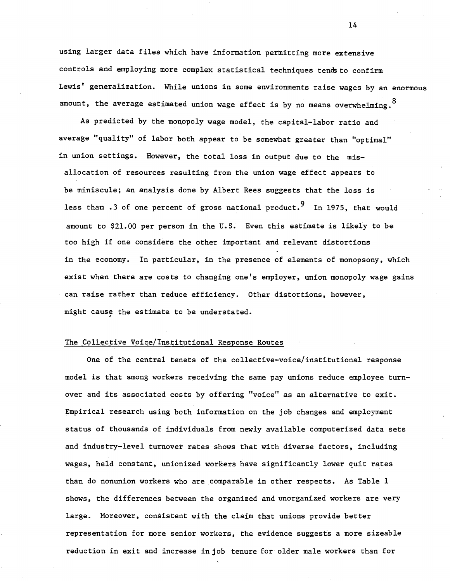using larger data files which have information permitting more extensive controls and employing more complex statistical techniques tends to confirm Lewis' generalization. While unions in some environments raise wages by an enormous amount, the average estimated union wage effect is by no means overwhelming.

As predicted by the monopoly wage model, the capital-labor ratio and average "quality" of labor both appear to be somewhat greater than "optimal" in union settings. However, the total loss in output due to the misallocation of resources resulting from the union wage effect appears to be miniscule; an analysis done by Albert Rees suggests that the loss is less than .3 of one percent of gross national product.<sup>9</sup> In 1975, that would amount to \$21.00 per person in the U.S. Even this estimate is likely to be too high if one considers the other important and relevant distortions in the economy. In particular, in the presence of elements of monopsony, which exist when there are costs to changing one's employer, union monopoly wage gains can raise rather than reduce efficiency. Other distortions, however, might cause the estimate to be understated.

## The Collective Voice/Institutional Response Routes

One of the central tenets of the collective-voice/institutional response model is that among workers receiving the same pay unions reduce employee turnover and its associated costs by offering "voice" as an alternative to exit. Empirical research using both information on the job changes and employment status of thousands of individuals from newly available computerized data sets and industry-level turnover rates shows that with diverse factors, including wages, held constant, unionized workers have significantly lower quit rates than do nonunion workers who are comparable in other respects. As Table 1 shows, the differences between the organized and unorganized workers are very large. Moreover, consistent with the claim that unions provide better representation for more senior workers, the evidence suggests a more sizeable reduction in exit and increase in job tenure for older male workers than for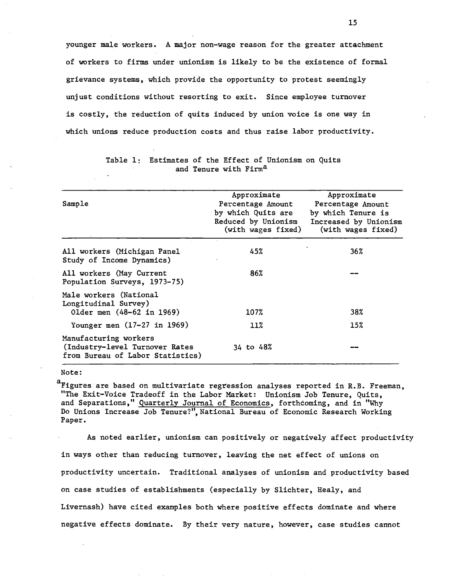younger male workers. A major non-wage reason for the greater attachment of workers to firms under unionism is likely to be the existence of formal grievance systems, which provide the opportunity to protest seemingly unjust conditions without resorting to exit. Since employee turnover is costly, the reduction of quits induced by union voice is one way in which unions reduce production costs and thus raise labor productivity.

| Sample                                                                                      | Approximate<br>Percentage Amount<br>by which Quits are<br>Reduced by Unionism<br>(with wages fixed) | Approximate<br>Percentage Amount<br>by which Tenure is<br>Increased by Unionism<br>(with wages fixed) |  |
|---------------------------------------------------------------------------------------------|-----------------------------------------------------------------------------------------------------|-------------------------------------------------------------------------------------------------------|--|
| All workers (Michigan Panel<br>Study of Income Dynamics)                                    | $\mathcal{H}_{\mathcal{C}}$<br>45%                                                                  | 36%                                                                                                   |  |
| All workers (May Current<br>Population Surveys, 1973-75)                                    | 86%                                                                                                 |                                                                                                       |  |
| Male workers (National<br>Longitudinal Survey)<br>Older men (48-62 in 1969)                 | 107%                                                                                                | 38%                                                                                                   |  |
| Younger men $(17-27$ in 1969)                                                               | 11%                                                                                                 | 15%                                                                                                   |  |
| Manufacturing workers<br>(Industry-level Turnover Rates<br>from Bureau of Labor Statistics) | 34 to 48%                                                                                           |                                                                                                       |  |

# Table 1: Estimates of the Effect of Unionism on Quits and Tenure with Firm<sup>a</sup>

#### Note:

a<sub>Figures are based on multivariate regression analyses reported in R.B. Freeman,</sub> "The Exit-Voice Tradeoff in the Labor Market: Unionism Job Tenure, Quits, and Separations," Quarterly Journal of Economics, forthcoming, and in "Why Do Unions Increase Job Tenure?", National Bureau of Economic Research Working Paper.

As noted earlier, unionism can positively or negatively affect productivity in ways other than reducing turnover, leaving the net effect of unions on productivity uncertain. Traditional analyses of unionism and productivity based on case studies of establishments (especially by Slichter, Healy, and Livernash) have cited examples both where positive effects dominate and where negative effects dominate. By their very nature, however, case studies cannot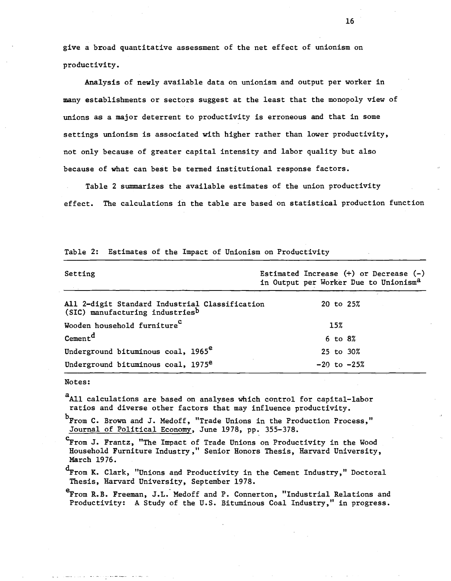give a broad quantitative assessment of the net effect of unionism on productivity.

Analysis of newly available data on unionism and output per worker in many establishments or sectors suggest at the least that the monopoly view of unions as a major deterrent to productivity is erroneous and that in some settings unionism is associated with higher rather than lower productivity, not only because of greater capital intensity and labor quality but also because of what can best be termed institutional response factors.

Table 2 summarizes the available estimates of the union productivity effect. The calculations in the table are based on statistical production function

| Setting                                                                           |  |                 | Estimated Increase $(+)$ or Decrease $(-)$<br>in Output per Worker Due to Unionism <sup>a</sup> |
|-----------------------------------------------------------------------------------|--|-----------------|-------------------------------------------------------------------------------------------------|
| All 2-digit Standard Industrial Classification<br>(SIC) manufacturing industriesb |  | 20 to 25%       |                                                                                                 |
| Wooden household furniture <sup>C</sup>                                           |  | 15%             |                                                                                                 |
| $Cement^d$                                                                        |  | $6$ to $8\%$    |                                                                                                 |
| Underground bituminous coal, 1965 <sup>e</sup>                                    |  | 25 to 30%       |                                                                                                 |
| Underground bituminous coal, 1975 <sup>e</sup>                                    |  | $-20$ to $-25%$ |                                                                                                 |

Table 2: Estimates of the Impact of Unionism on Producttvity

#### Notes:

aAll calculations are based on analyses which control for capital-labor ratios and diverse other factors that may influence productivity.

b<sub>From</sub> C. Brown and J. Medoff, "Trade Unions in the Production Process," Journal of Political Economy, June 1978, pp. 355-378.

From J. Frantz, "The Impact of Trade Unions on Productivity in the Wood Household Furniture Industry," Senior Honors Thesis, Harvard University, March 1976.

 ${}^{\text{d}}$ From K. Clark, "Unions and Productivity in the Cement Industry," Doctoral Thesis, Harvard University, September 1978.

 $^{e}$ From R.B. Freeman, J.L. Medoff and P. Connerton, "Industrial Relations and Productivity: A Study of the U.S. Bituminous Coal Industry," in progress.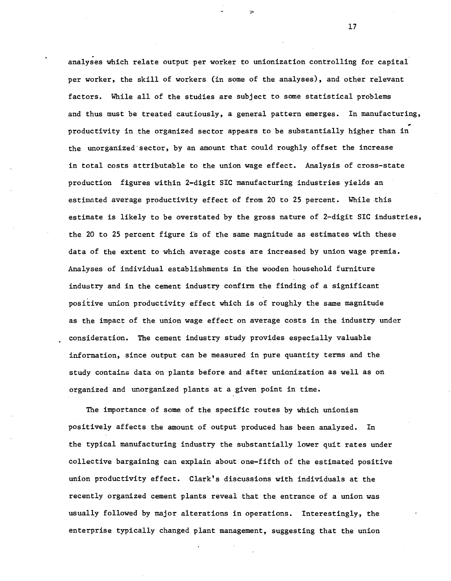. analyses which relate output per worker to unionization controlling for capital per worker, the skill of workers (in some of the analyses), and other relevant factors. While all of the studies are subject to some statistical problems and thus must be treated cautiously, a general pattern emerges. In manufacturing, productivity in the organized sector appears to be substantially higher than in the unorganized'sector, by an amount that could roughly offset the increase in total costs attributable to the union wage effect. Analysis of cross-state production figures within 2-digit SIC manufacturing industries yields an estimated average productivity effect of from 20 to 25 percent. While this estimate is likely to be overstated by the gross nature of 2-digit SIC industries, the 20 to 25 percent figure is of the same magnitude as estimates with these data of the extent to which average costs are increased by union wage premia. Analyses of individual establishments in the wooden household furniture industry and in the cement industry confirm the finding of a significant positive union productivity effect which is of roughly the same magnitude as the impact of the union wage effect on average costs in the industry under consideration. The cement industry study provides especially valuable information, since output can be measured in pure quantity terms and the study contains data on plants before and after unionization as well as on organized and unorganized plants at a given point in time.

The importance of some of the specific routes by which unionism positively affects the amount of output produced has been analyzed. In the typical manufacturing industry the substantially lower quit rates under collective bargaining can explain about one-fifth of the estimated positive union productivity effect. Clark's discussions with individuals at the recently organized cement plants reveal that the entrance of a union was usually followed by major alterations in operations. Interestingly, the enterprise typically changed plant management, suggesting that the union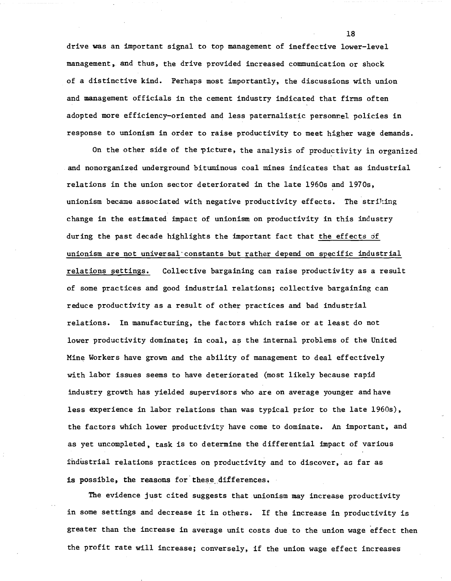drive was an important signal to top management of ineffective lower-level management,. and thus, the drive provided increased communication or shock of a distinctive kind. Perhaps most importantly, the discussions with union and management officials in the cement industry indicated that firms often adopted more efficiency-oriented and less paternalistic personnel policies in response to unionism in order to raise productivity to meet higher wage demands.

On the other side of the picture, the analysis of productivity in organized and nonorganized underground bituminous coal mines indicates that as industrial relations in the union sector deteriorated in the late 1960s and 1970s, unionism became associated with negative productivity effects. The striking change in the estimated impact of unionism on productivity in this industry during the past decade highlights the important fact that the effects of unionism are not universa1"constants but rather depend on specific industrial relations settings. Collective bargaining can raise productivity as a result of some practices and good industrial relations; collective bargaining can reduce productivity as a result of other practices and bad industrial relations. In manufacturing, the factors which raise or at least do not lower productivity dominate; in coal, as the internal problems of the United Mine Workers have grown and the ability of management to deal effectively with labor issues seems to have deteriorated (most likely because rapid industry growth has yielded supervisors who are on average younger and have less experience in labor relations than was typical prior to the late 1960s), the factors which lower productivity have come to dominate. An important, and as yet uncompleted, task is to determine the differential impact of various industrial relations practices on productivity and to discover, as far as is possible, the reasons for these differences.

The evidence just cited suggests that unionism may increase productivity in some settings and decrease it in others. If the increase in productivity is greater than the increase in average unit costs due to the union wage effect then the profit rate will increase; conversely, if the union wage effect increases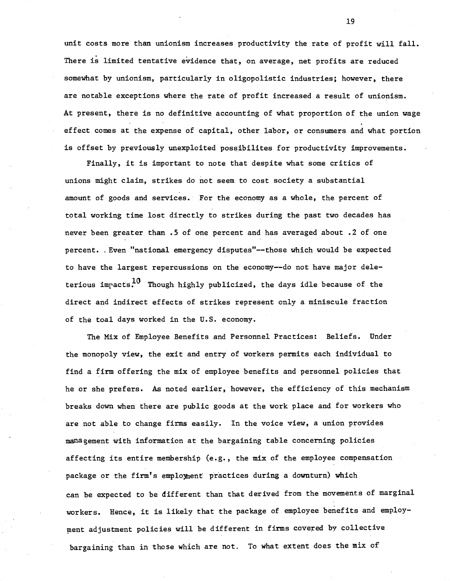unit costs more than unionism increases productivity the rate of profit will fall. There is limited tentative evidence that, on average, net profits are reduced somewhat by unionism, particularly in oligopolistic industries; however, there are notable exceptions where the rate of profit increased a result of unionism. At present, there is no definitive accounting of what proportion of the union wage effect comes at the expense of capital, other labor, or consumers and what portion is offset by previously unexploited possibilites for productivity improvements.

Finally, it is important to note that despite what some critics of unions might claim, strikes do not seem to cost society a substantial amount of goods and services. For the economy as a whole, the percent of total working time lost directly to strikes during the past two decades has never been greater than .5 of one percent and has averaged about .2 of one percent. . Even "national emergency disputes"--those which would be expected to have the largest repercussions on the economy--do not have major deleterious impacts.<sup>10</sup> Though highly publicized, the days idle because of the direct and indirect effects of strikes represent only a miniscule fraction of the toal days worked in the U.S. economy.

The Mix of Employee Benefits and Personnel Practices: Beliefs. Under the monopoly view, the exit and entry of workers permits each individual to find a firm offering the mix of employee benefits and personnel policies that he or she prefers. As noted earlier, however, the efficiency of this mechanism breaks down when there are public goods at the work place and for workers who are not able to change firms easily. In the voice view, a union provides management with information at the bargaining table concerning policies affecting its entire membership (e.g., the mix of the employee compensation package or the firm's emploment practices during a downturn) which can be expected to be different than that derived from the movements of marginal workers. Hence, it is likely that the package of employee benefits and employ ment adjustment policies will be different in firms covered by collective bargaining than in those which are not. To what extent does the mix of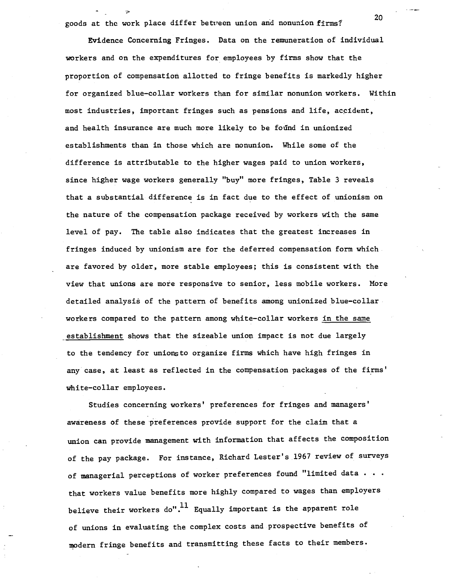goods at the work place differ between union and nonunion firms? 20

Evidence Concerning Fringes. Data on the remuneration of individual workers and on the expenditures for employees by firms show that the proportion of compensation allotted to fringe benefits is markedly higher for organized blue-collar workers than for similar nonunion workers. Within most industries, important fringes such as pensions and life, accident, and health insurance are much more likely to be found in unionized establishments than in those which are nonunion. While some of the difference is attributable to the higher wages paid to union workers, since higher wage workers generally "buy" more fringes, Table 3 reveals that a substantial difference is in fact due to the effect of unionism on the nature of the compensation package received by workers with the same level of pay. The table also indicates that the greatest increases in fringes induced by unionism are for the deferred compensation form which are favored by older, more stable employees; this is consistent with the view that unions are more responsive to senior, less mobile workers. More detailed analysis of the pattern of benefits among unionized blue-collar workers compared to the pattern among white-collar workers in the same establishment shows that the sizeable union impact is not due largely to the tendency for unionsto organize firms which have high fringes in any case, at least as reflected in the compensation packages of the firms' white-collar employees.

Studies concerning workers' preferences for fringes and managers' awareness of these preferences provide support for the claim that a union can provide management with information that affects the composition of the pay package. For instance, Richard Lester's 1967 review of surveys of managerial perceptions of worker preferences found "limited data • • • that workers value benefits more highly compared to wages than employers believe their workers do".<sup>11</sup> Equally important is the apparent role of unions in evaluating the complex costs and prospective benefits of modern fringe benefits and transmitting these facts to their members.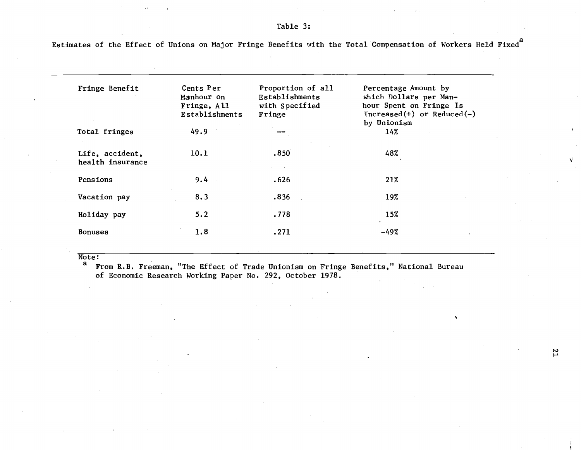Estimates of the Effect of Unions on Major Fringe Benefits with the Total Compensation of Workers Held Fixed<sup>a</sup>

| Fringe Benefit                      | Cents Per<br>Manhour on<br>Fringe, All<br>Establishments | Proportion of all<br>Establishments<br>with Specified<br>Fringe | Percentage Amount by<br>which Dollars per Man-<br>hour Spent on Fringe Is<br>$Increase(+)$ or Reduced(-) |
|-------------------------------------|----------------------------------------------------------|-----------------------------------------------------------------|----------------------------------------------------------------------------------------------------------|
| Total fringes                       | 49.9                                                     |                                                                 | by Unionism<br>14%                                                                                       |
| Life, accident,<br>health insurance | 10.1                                                     | .850                                                            | 48%                                                                                                      |
| Pensions                            | 9.4                                                      | .626                                                            | 21%                                                                                                      |
| Vacation pay                        | 8.3                                                      | .836                                                            | 19%                                                                                                      |
| Holiday pay                         | 5.2                                                      | .778                                                            | 15%                                                                                                      |
| <b>Bonuses</b>                      | 1.8                                                      | .271                                                            | -49%                                                                                                     |

 $\frac{\overline{\text{Note:}}}{a}$ 

From R.B. Freeman, "The Effect of Trade Unionism on Fringe Benefits," National Bureau of Economic Research Working Paper No. 292, October 1978.

N I-'

 $\bullet$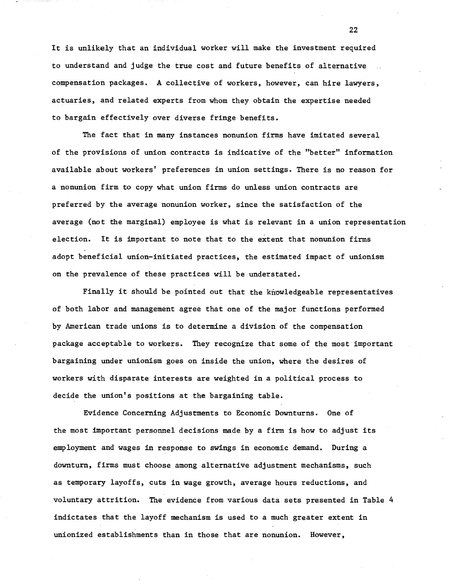It is unlikely that an individual worker will make the investment required to understand and judge the true cost and future benefits of alternative compensation packages. A collective of workers, however, can hire lawyers, actuaries, and related experts from whom they obtain the expertise needed to bargain effectively over diverse fringe benefits.

The fact that in many instances nonunion firms have imitated several of the provisions of union contracts is indicative of the "better" information available about workers' preferences in union settings. There is no reason for a nonunion firm to copy what union firms do unless union contracts are preferred by the average nonunion worker, since the satisfaction of the average (not the marginal) employee is what is relevant in a union representation election. It is important to note that to the extent that nonunion firms adopt beneficial union-initiated practices, the estimated impact of unionism on the prevalence of these practices will be understated.

Finally it should be pointed out that the knowledgeable representatives of both labor and management agree that one of the major functions performed by American trade unions is to determine a division of the compensation package acceptable to workers. They recognize that some of the most important bargaining under unionism goes on inside the union, where the desires of workers with disparate interests are weighted in a political process to decide the union's positions at the bargaining table.

Evidence Concerning Adjustments to Economic Downturns. One of the most important personnel decisions made by <sup>a</sup> firm is how to adjust its employment and wages in response to swings in economic demand. During a downturn, firms must choose among alternative adjustment mechanisms, such as temporary layoffs, cuts in wage growth, average hours reductions, and voluntary attrition. The evidence from various data sets presented in Table 4 indictates that the layoff mechanism is used to a much greater extent in unionized establishments than in those that are nonunion. However,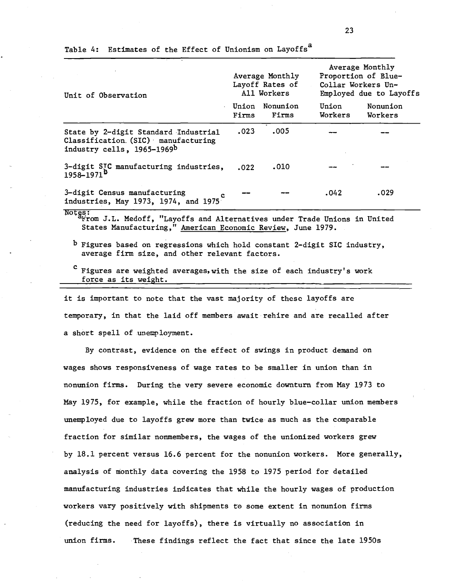| Unit of Observation                                                                                        |                | Average Monthly<br>Layoff Rates of<br>All Workers |                  | Average Monthly<br>Proportion of Blue-<br>Collar Workers Un-<br>Employed due to Layoffs |  |  |
|------------------------------------------------------------------------------------------------------------|----------------|---------------------------------------------------|------------------|-----------------------------------------------------------------------------------------|--|--|
|                                                                                                            | Union<br>Firms | Nonunion<br>Firms                                 | Union<br>Workers | Nonunion<br>Workers                                                                     |  |  |
| State by 2-digit Standard Industrial<br>Classification $(SIC)$ manufacturing<br>industry cells, 1965-1969b | .023           | .005                                              |                  |                                                                                         |  |  |
| 3-digit SIC manufacturing industries,<br>1958-1971 <sup>B</sup>                                            | .022           | .010                                              |                  |                                                                                         |  |  |
| 3-digit Census manufacturing<br>industries, May 1973, 1974, and 1975                                       |                |                                                   | .042             | .029                                                                                    |  |  |

Table 4: Estimates of the Effect of Unionism on Layoffs<sup>a</sup>

~tr: . .. .. . . . li'rom J. L. Medoff, "Layoffs and Alternatives under Trade Unions in United States Manufacturing," American Economic Review, June 1979.

b Figures based on regressions which hold constant 2-digit SIC industry, average firm size, and other relevant factors.

Figures are weighted averages, with the size of each industry's work force as its weight.

it is important to note that the vast majority of these layoffs are temporary, in that the laid off members await rehire and are recalled after a short spell of unemployment.

By contrast, evidence on the effect of swings in product demand on wages shows responsiveness of wage rates to be smaller in union than in nonunion firms. During the very severe economic downturn from May 1973 to May 1975, for example, while the fraction of hourly blue-collar union members unemployed due to layoffs grew more than twice as much as the comparable fraction for similar nonmembers, the wages of the unionized workers grew by 18.1 percent versus 16.6 percent for the nonunion workers. More generally, analysis of monthly data covering the 1958 to 1975 period for detailed manufacturing industries indicates that while the hourly wages of production workers vary positively with shipments to some extent in nonunion firms (reducing the need for layoffs), there is virtually no association in union firms. These findings reflect the fact that since the late 1950s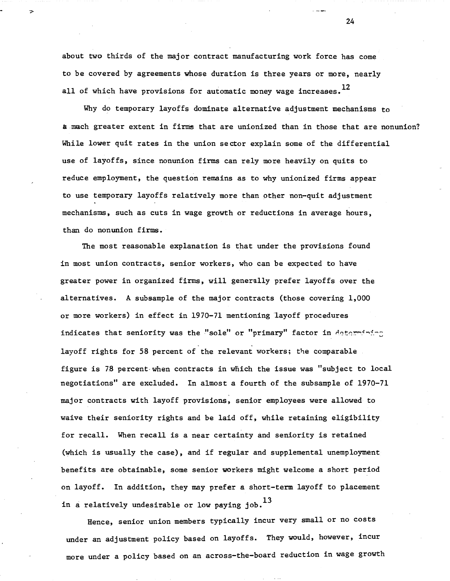about two thirds of the major contract manufacturing work force has come to be covered by agreements whose duration is three years or more, nearly all of which have provisions for automatic money wage increases.  $^{12}$ 

Why do temporary layoffs dominate alternative adjustment mechanisms to kmach greater extent in firms that are unionized than in those that are nonunion? While lower quit rates in the union sector explain some of the differential use of layoffs, since nonunion firms can rely more heavily on quits to reduce employment, the question remains as to why unionized firms appear to use temporary layoffs relatively more than other non-quit adjustment mechanisms, such as cuts in wage growth or reductions in average hours, than do nonunion firms.

The most reasonable explanation is that under the provisions found in most union contracts, senior workers, who can be expected to have greater power in organized firms, will generally prefer layoffs over the alternatives. A subsample of the major contracts (those covering 1,000 or more workers) in effect in 1970-71 mentioning 'layoff procedures indicates that seniority was the "sole" or "primary" factor in determining layoff rights for 58 percent of the relevant workers; the comparable figure is 78 percent when contracts in which the issue was "subject to local negotiations" are excluded. In almost a fourth of the subsample of 1970-71 major contracts with layoff provisions, senior employees were allowed to waive their seniority rights and be laid off, while retaining eligibility for recall. When recall is a near certainty and seniority is retained (which is usually the case), and if regular and supplemental unemployment benefits are obtainable, some senior workers might welcome a short period on layoff. In addition, they may prefer a short-term layoff to placement in a relatively undesirable or low paying job.  $^{13}$ 

Hence, senior union members typically incur very small or no costs under an adjustment policy based on layoffs. They would, however, incur more under a policy based on an across-the-board reduction in wage growth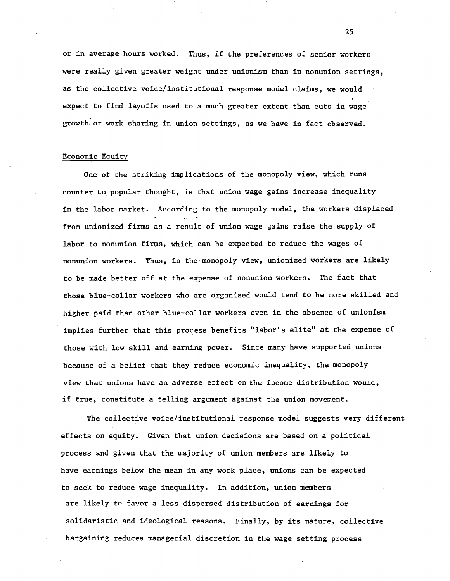or in average hours worked. Thus, if the preferences of senior workers were really given greater weight under unionism than in nonunion settings, as the collective voice/institutional response model claims, we would expect to find layoffs used to a much greater extent than cuts in wage growth or work sharing in union settings, as we have in fact observed.

## Economic Equity

One of the striking implications of the monopoly view, which runs counter to. popular thought, is that union wage gains increase inequality in the labor market. According to the monopoly model, the workers displaced from unionized firms as a result of union wage gains raise the supply of labor to nonunion firms, which can be expected to reduce the wages of nonunion workers. Thus, in the·monopoly view, unionized workers are likely to be made better off at the expense of nonunion workers. The fact that those blue-collar workers who are organized would tend to be more skilled and higher. paid than other blue-collar workers even in the absence of unionism implies further that this process benefits "labor's elite" at the expense of those with low skill and earning power. Since many have supported unions because of. a belief that they reduce economic inequality, the monopoly view that unions have an adverse effect on the income distribution would, if true, constitute a telling argument against the union movement.

The collective voice/institutional response model suggests very different effects on equity. Given that union decisions are based on a political process and given that the majority of union members are likely to have earnings below the mean in any work place, unions can be expected to seek to reduce wage inequality. In addition, union members are likely to favor a less dispersed distribution of earnings for solidaristic and ideological reasons. Finally, by its nature, collective bargaining reduces managerial discretion in the wage setting process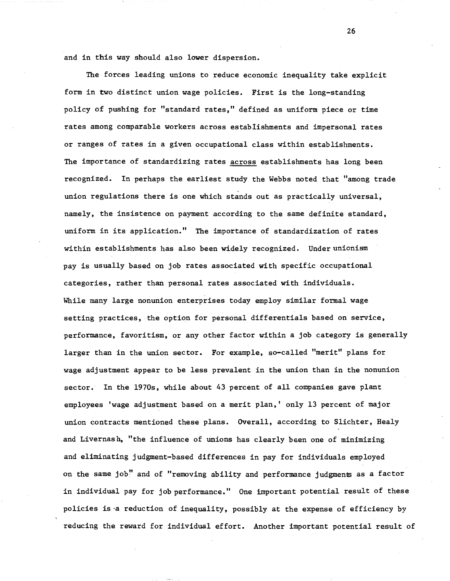and in this way should also lower dispersion.

The forces leading unions to reduce economic inequality take explicit form in two distinct union wage policies. First is the long-standing policy of pushing for "standard rates," defined as uniform piece or time rates among comparable workers across establishments and impersonal rates or ranges of rates in a given occupational class within establishments. The importance of standardizing rates across establishments has long been recognized. In perhaps the earliest study the Webbs noted that "among trade union regulations there is one which stands out as practically universal, namely, the insistence on payment according to the same definite standard, uniform in its application." The importance of standardization of rates within establishments has also been widely recognized. Under unionism pay is usually based on job rates associated with specific occupational categories, rather than personal rates associated with individuals. While many large nonunion enterprises today employ similar formal wage setting practices, the option for personal differentials based on service, performance, favoritism, or any other factor within a job category is generally larger than in the union sector. For example, so-called "merit" plans for wage adjustment appear to be less prevalent in the union than in the nonunion sector. In the 1970s, while about 43 percent of all companies gave plant employees 'wage adjustment based on a merit plan,' only 13 percent of major union contracts mentioned these plans. Overall, according to Slichter, Healy and Livernash, "the influence of unions has clearly been one of minimizing and eliminating judgment-based differences in pay for individuals employed on the same job" and of "removing ability and performance judgments as a factor in individual pay for job performance." One important potential result of these policies is -a reduction of inequality, possibly at the expense of efficiency by reducing the reward for individual effort. Another important potential result of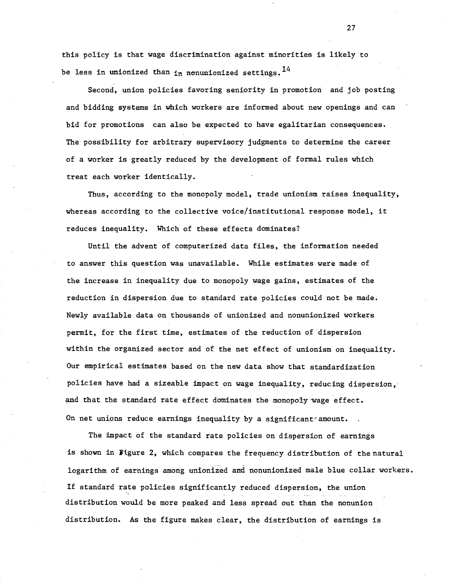this policy is that wage discrimination against minorities is likely to be less in unionized than  $_{1n}$  nonunionized settings. <sup>14</sup>

Second, union policies favoring seniority in promotion and job posting and bidding systems in which workers are informed about new openings and can bid for promotions can also be expected to have egalitarian consequences. The possibility for arbitrary supervisory judgments to determine the career of a worker is greatly reduced by the development of formal rules which treat each worker identically.

Thus, according to the monopoly model, trade unionism raises inequality, whereas according to the collective voice/institutional response model, it reduces inequality. Which of these effects dominates?

Until the advent of computerized data files, the information needed to answer this question was unavailable. While estimates were made of the increase in inequality due to monopoly wage gains, estimates of the reduction in dispersion due to standard rate policies could not be made. Newly available data on thousands of unionized and nonunionized workers permit, for the first time, estimates of the reduction of dispersion within the organized sector and of the net effect of unionism on inequality. Our empirical estimates based on the new data show that standardization policies have had a sizeable impact on wage inequality, reducing dispersion, and that the standard rate effect dominates the monopoly wage effect. On net unions reduce earnings inequality by a significant amount.

The impact of the standard rate policies on dispersion of earnings is shown in figure 2, which compares the frequency distribution of the natural logarithm of earnings among unionized and nonunionized male blue collar workers. If standard rate policies significantly reduced dispersion, the union distribution would be more peaked and less spread out than the nonunion distribution. As the figure makes clear, the distribution of earnings is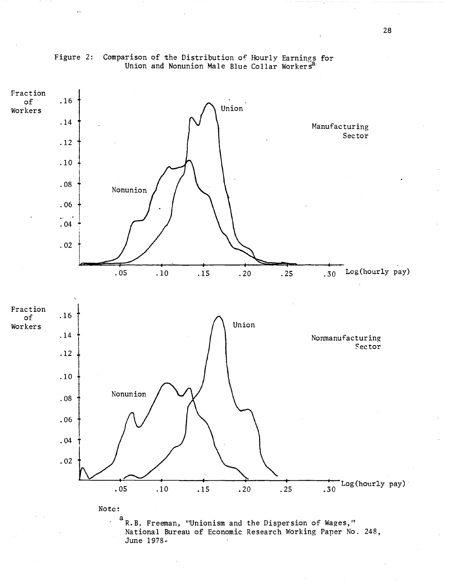

# Figure 2: Comparison of the Distribution of Hourly Earnings for Union and Nonunion Male Blue Collar Workers<sup>a</sup>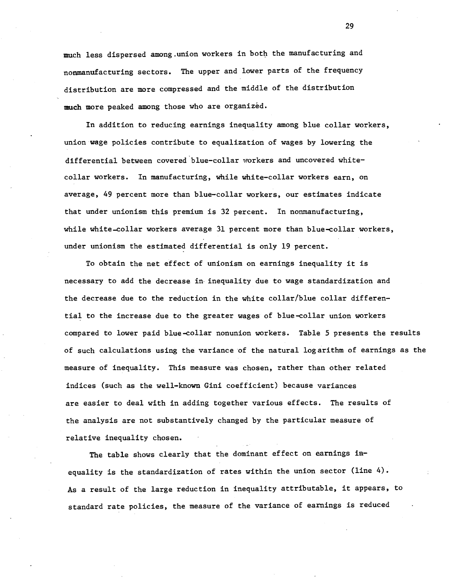much less dispersed among.union workers in both the manufacturing and nonmanufacturing sectors. The upper and lower parts of the frequency distribution are more compressed and the middle of the distribution much more peaked among those who are organized.

In addition to reducing earnings inequality among blue collar workers, union wage policies contribute to equalization of wages by lowering the differential between covered "blue-collar workers and uncovered whitecollar workers. In manufacturing, while white-collar workers earn, on average, 49 percent more than blue-collar workers, our estimates indicate that under unionism this premium is 32 percent. In nonmanufacturing, while white-eollar workers average 31 percent more than blue-collar workers, under unionism the estimated differential is only 19 percent.

To obtain the net effect of unionism on earnings inequality it is necessary to add the decrease in inequality due to wage standardization and the decrease due to the reduction in the white collar/blue collar differential to the increase due to the greater wages of blue-collar union workers compared to lower paid blue-collar nonunion workers. Table 5 presents the results of such calculations using the variance of the natural logarithm of earnings as the measure of inequality. This measure was chosen, rather than other related indices (such as the well-known Gini coefficient) because variances are easier to deal with in adding together various effects. The results of the analysis are not substantively changed by the particular measure of relative inequality chosen.

The table shows clearly that the dominant effect on earnings inequality is the standardization of rates within the union sector (line 4). As <sup>a</sup> result of the large reduction in inequality attributable, it appears, to standard rate policies, the measure of the variance of earnings is reduced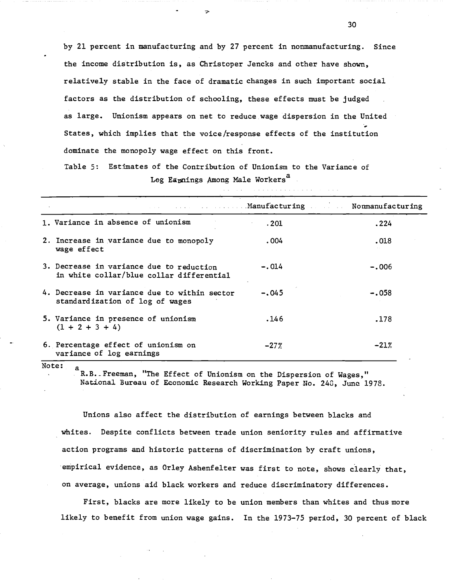by 21 percent in manufacturing and by 27 percent in nonmanufacturing. Since the income distribution is, as Christoper Jencks and other have shown, relatively stable in the face of dramatic changes in such important social factors as the distribution of schooling, these effects must be judged as large. Unionism appears on net to reduce wage dispersion in the United " States, which implies that the voice/response effects of the institution dominate the monopoly wage effect on this front.

Table 5: Estimates of the Contribution of Unionism to the Variance of Log Eapnings Among Male Workers<sup>a</sup>

|                                                                                      |         | <b><i>Example</i></b> 2016 Manufacturing Mommanufacturing |  |  |  |
|--------------------------------------------------------------------------------------|---------|-----------------------------------------------------------|--|--|--|
| 1. Variance in absence of unionism                                                   | .201    | .224                                                      |  |  |  |
| 2. Increase in variance due to monopoly<br>wage effect                               | .004    | .018                                                      |  |  |  |
| 3. Decrease in variance due to reduction<br>in white collar/blue collar differential | $-.014$ | $-.006$                                                   |  |  |  |
| 4. Decrease in variance due to within sector<br>standardization of log of wages      | $-.045$ | $-.058$                                                   |  |  |  |
| 5. Variance in presence of unionism<br>$(1 + 2 + 3 + 4)$                             | .146    | .178                                                      |  |  |  |
| 6. Percentage effect of unionism on<br>variance of log earnings                      | $-27%$  | $-21%$                                                    |  |  |  |

Note:

a<br>R.B. Freeman, "The Effect of Unionism on the Dispersion of Wages," National Bureau of Economic Research Working Paper No. 248, June 1978.

Unions also affect the distribution of earnings between blacks and whites. Despite conflicts between trade union seniority rules and affirmative action programs and historic patterns of discrimination by craft unions, 'empirical evidence, as Orley Ashenfelter was first to note, shows clearly that, on average, unions aid black workers and reduce discriminatory differences.

First, blacks are more likely to be union members than whites and thus more likely to benefit from union wage gains. In the 1973-75 period, 30 percent of black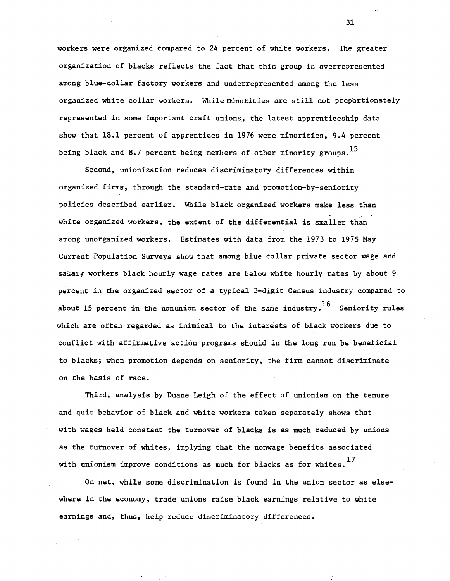workers were organized compared to 24 percent of white workers. The greater organization of blacks reflects the fact that this group is overrepresented among blue-collar factory workers and underrepresented among the less organized white collar workers. Whileminotities are still not prapantionately represented in some important craft unions, the latest apprenticeship data show that 18.1 percent of apprentices in 1976 were minorities, 9.4 percent being black and 8.7 percent being members of other minority groups.<sup>15</sup>

Second, unionization reduces discriminatory differences within organized firms, through the standard-rate and promotion-by-seniority policies described earlier. While black organized workers make less than .. white organized workers, the extent of the differential is smaller than among unorganized workers. Estimates with data from the 1973 to 1975 May Current Population Surveys show that among blue collar private sector wage and salary workers black hourly wage rates are below white hourly rates by about 9 percent in the organized sector of a typical 3-digit Census industry compared to about 15 percent in the nonunion sector of the same industry.<sup>16</sup> Seniority rules which are often regarded as inimical to the interests of black workers due to conflict with affirmative action programs should in the long run be beneficial to blacks; when promotion depends on seniority, the firm cannot discriminate on the basis of race.

Third, analysis by Duane Leigh of the effect of unionism on the tenure and quit behavior of black and white workers taken separately shows that with wages held constant the turnover of blacks is as much reduced by unions as the turnover of whites; implying that the nonwage benefits associated with unionism improve conditions as much for blacks as for whites.<sup>17</sup>

On net, while some discrimination is found in the union sector as elsewhere in the economy, trade unions raise black earnings relative to white earnings and, thus, help reduce discriminatory differences.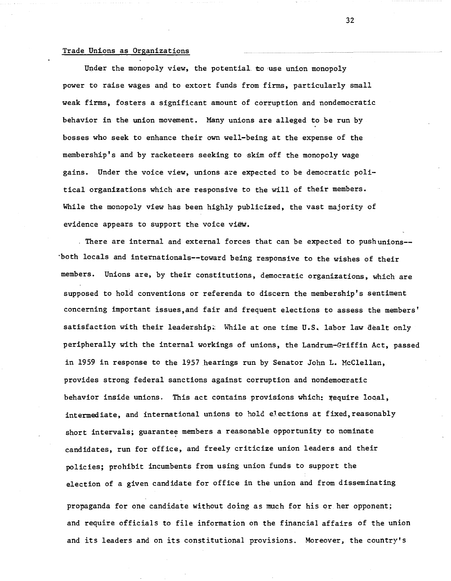## Trade Unions as Organizations

Under the monopoly view, the potential to use union monopoly power to raise wages and to extort funds from firms, particularly small weak firms, fosters a significant amount of corruption and nondemocratic behavior in the union movement. Many unions are alleged to be run by bosses who seek to enhance their own well-being at the expense of the membership's and by racketeers seeking to skim off the monopoly wage gains. Under the voice view, unions are expected to be democratic political organizations which are responsive to the will of their members. While the monopoly view has been highly publicized, the vast majority of evidence appears to support the voice view.

. There are internal and external forces that can be expected to pushunions-- "both locals and internationals--toward being responsive to the wishes of their members. Unions are, by their constitutions, democratic organizations, which are supposed to hold conventions or referenda to discern the membership's sentiment concerning important issues,and fair and frequent elections to assess the members' satisfaction with their leadership. While at one time U.S. labor law dealt only peripherally with the internal workings of unions, the Landrum-Griffin Act, passed in 1959 in response to the 1957 hearings run by Senator John L. McClellan, provides strong federal sanctions against corruption and nondemocratic behavior inside unions. This act contains provisions which: require local, intermediate, and international unions to hold elections at fixed, reasonably short intervals; guarantee members a reasonable opportunity to nominate candidates, run for office, and freely criticize union leaders and their policies; prohibit incumbents from using union funds to support the election of a given candidate for office in the union and from disseminating propaganda for one candidate without doing as much for his or her opponent; and require officials to file information on the financial affairs of the union and its leaders and on its constitutional provisions. Moreover, the country's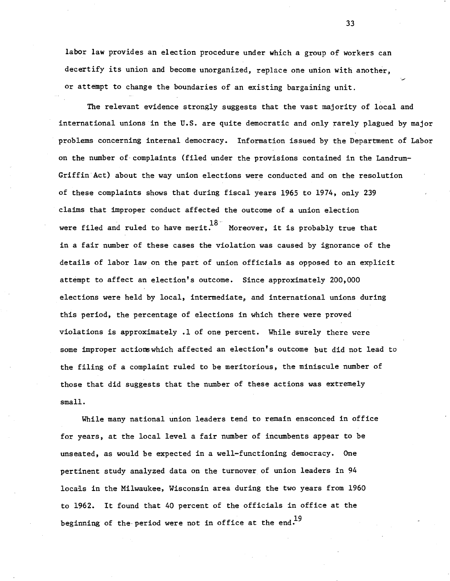labor law provides an election procedure under which a group of workers can decertify its union and become unorganized, replace one union with another, or attempt to change the boundaries of an existing bargaining unit.

The relevant evidence strongly suggests that the vast majority of local and international unions in the U.S. are quite democratic and only rarely plagued by major problems concerning internal democracy. Information issued by the Department of Labor on the number of complaints (filed under the provisions contained in the Landrum-Griffin Act) about the way union elections were conducted and on the resolution of these complaints shows that during fiscal years 1965 to 1974, only 239 claims that improper conduct affected the outcome of a union election were filed and ruled to have merit.  $^{18}$  Moreover, it is probably true that in a fair number of these cases the violation was caused by ignorance of the details of labor law on the part of union officials as opposed to an explicit attempt to affect an election's outcome. Since approximately 200,000 elections were held by local, intermediate, and international unions during this period, the percentage of elections in which there were proved violations is approximately .1 of one percent. While surely there were some improper actions which affected an election's outcome but did not lead to the filing of a complaint ruled to be meritorious, the miniscule number of those that did suggests that the number of these actions was extremely small.

While many national union leaders tend to remain ensconced in office for years, at the local level a fair number of incumbents appear to be unseated, as would be expected in a well-functioning democracy. One pertinent study analyzed data on the turnover of union leaders in 94 locals in the Milwaukee, Wisconsin area during the two years from 1960 to 1962. It found that <sup>40</sup> percent of the officials in office at the beginning of the period were not in office at the end.<sup>19</sup>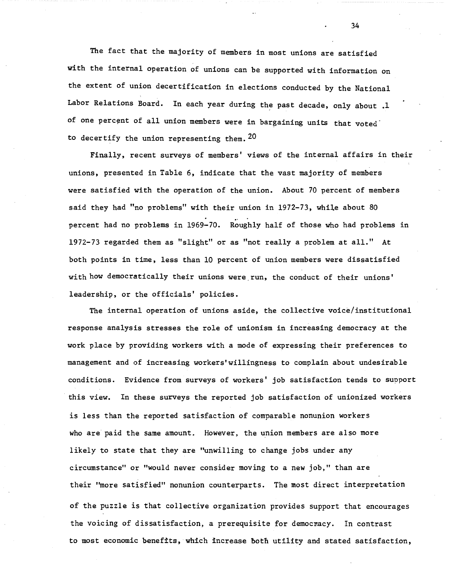The fact that the majority of members in most unions are satisfied with the internal operation of unions can be supported with information on the extent of union decertification in elections conducted by the National Labor Relations Board. In each year during the past decade, only about .1 of one percent of all union members were in bargaining units that voted to decertify the union representing them.  $20$ 

Finally, recent surveys of members' views of the internal affairs in their unions, presented in Table 6, indicate that the vast majority of members were satisfied with the operation of the union. About 70 percent of members said they had "no problems" with their union in 1972-73, while about 80 percent had no problems in 1969-70. Roughly half of those who had problems in 1972-73 regarded them as "slight" or as "not really a problem at all." At both points in time, less than 10 percent of union members were dissatisfied with how democratically their unions were,run, the conduct of their unions' leadership, or the officials' policies.

The internal operation of unions aside, the collective voice/institutional response analysis stresses the role of unionism in increasing democracy at the work place by providing workers with a mode of expressing their preferences to management and of increasing workers'willingness to complain about undesirable conditions. Evidence from surveys of workers' job satisfaction tends to suoport this view. In these surveys the reported job satisfaction of unionized workers is less than the reported satisfaction of comparable nonunion workers who are paid the same amount. However, the union members are also more likely to state that they are "unwilling to change jobs under any circumstance" or "would never consider moving to a new job," than are their "more satisfied" nonunion counterparts. The most direct interpretation of the puzzle is that collective organization provides support that encourages the voicing of dissatisfaction, a prerequisite for democnacy. In contrast to most economic beneftts, which increase Doth utility and stated satisfaction,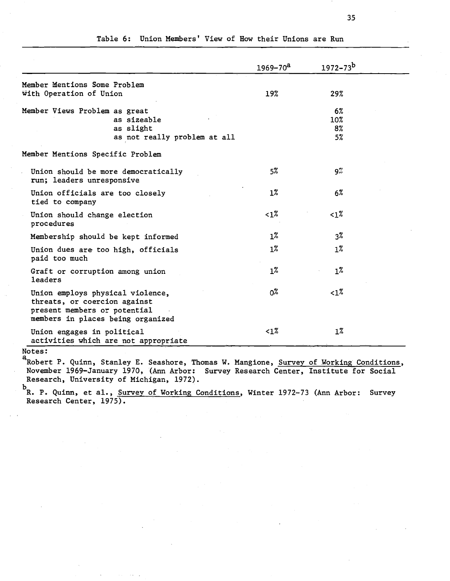|                                                                                                                                       | $1969 - 70a$   | $1972 - 73^b$  |  |
|---------------------------------------------------------------------------------------------------------------------------------------|----------------|----------------|--|
| Member Mentions Some Problem<br>With Operation of Union                                                                               | 19%            | 29%            |  |
|                                                                                                                                       |                |                |  |
| Member Views Problem as great                                                                                                         |                | 6%             |  |
| as sizeable                                                                                                                           |                | 10%            |  |
| as slight                                                                                                                             |                | 8%             |  |
| as not really problem at all                                                                                                          |                | 5%             |  |
| Member Mentions Specific Problem                                                                                                      |                |                |  |
| Union should be more democratically<br>run; leaders unresponsive                                                                      | 5%             | 9%             |  |
| Union officials are too closely<br>tied to company                                                                                    | $1\%$          | $6\%$          |  |
| Union should change election<br>procedures                                                                                            | $<$ 1%         | 1%             |  |
| Membership should be kept informed                                                                                                    | $1\%$          | 3 <sup>7</sup> |  |
| Union dues are too high, officials<br>paid too much                                                                                   | $1\%$          | $1\%$          |  |
| Graft or corruption among union<br>leaders                                                                                            | $1\%$          | $1\%$          |  |
| Union employs physical violence,<br>threats, or coercion against<br>present members or potential<br>members in places being organized | 0 <sup>%</sup> | ${<}1$ %       |  |
| Union engages in political<br>activities which are not appropriate                                                                    | ${<}1\%$       | $1\%$          |  |

# Table 6: Union Members' View of How their Unions are Run

Notes:

a<br>Robert P. Quinn, Stanley E. Seashore, Thomas W. Mangione, Survey of Working Conditions, November 1969-January 1970, (Ann Arbor: Survey Research Center, Institute for Social Research, University of Michigan, 1972).

<sup>b</sup><br>R. P. Quinn, et al., <u>Survey of Working Conditions</u>, Winter 1972-73 (Ann Arbor: Survey Research Center, 1975).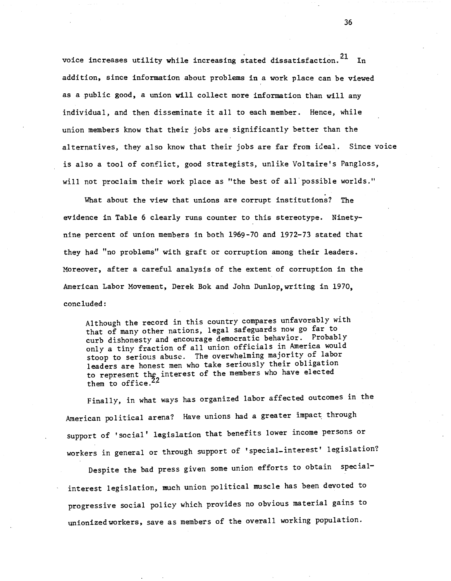voice increases utility while increasing stated dissatisfaction.<sup>21</sup> In addition, since information about problems in a work place can be viewed as a public good, a union will collect more information than will any individual, and then disseminate it all to each member. Hence, while union members know that their jobs are significantly better than the alternatives, they also know that their jobs are far from ideal. Since voice is also a tool of conflict, good strategists, unlike Voltaire's Pangloss, will not proclaim their work place as "the best of all possible worlds."

What about the view that unions are corrupt institutions? The evidence in Table 6 clearly runs counter to this stereotype. Ninetynine percent of union members in both 1969-70 and 1972-73 stated that they had "no problems" with graft or corruption among their leaders. Moreover, after a careful analysis of the extent of corruption in the American Labor Movement, Derek Bok and John Dun1op,writing in 1970, concluded:

Although the record in this country compares unfavorably with that of many other nations, legal safeguards now go far to curb dishonesty and encourage democratic behavior. Probably only a tiny fraction of all union officials in America would stoop to serious abuse. The overwhelming majority of labor leaders are honest men who take seriously their obligation to represent the interest of the members who have elected them to office.<sup>22</sup>

Finally, in what ways has organized labor affected outcomes in the American political arena? Have unions had a greater impact through support of 'social' legislation that benefits lower income persons or workers in general or through support of 'special\_interest' legislation?

Despite the bad press given some union efforts to obtain specialinterest legislation, much union political muscle has been devoted to progressive social policy which provides no obvious material gains to unionized workers, save as members of the overall working population.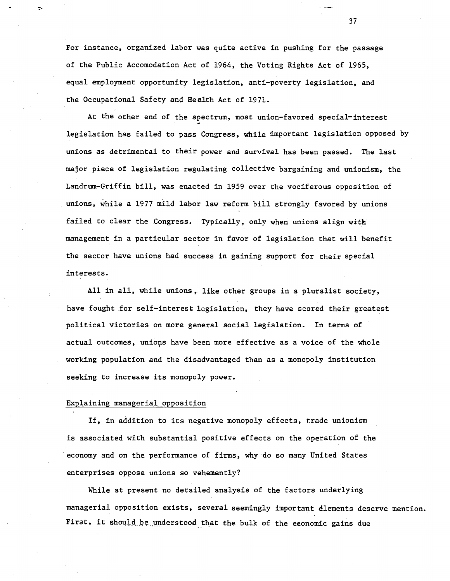For instance, organized labor was quite active in pushing for the passage of the Public Accomodation Act of 1964, the Voting Rights Act of 1965, equal employment opportunity legislation, anti-poverty legislation, and the Occupational Safety and Health Act of 1971.

At the other end of the spectrum, most union-favored special-interest legislation has failed to pass Congress, while important legislation opposed by unions as detrimental to their power and survival has been passed. The last major piece of legislation regulating collective bargaining and unionism, the Landrum-Griffin bill, was enacted in 1959 over the vociferous opposition of unions, while a 1977 mild labor law reform bill strongly favored by unions failed to clear the Congress. Typically, only when unions align with management in a particular sector in favor of legislation that will benefit the sector have unions had success in gaining support for their special interests.

All in all, while unions, like other groups in a pluralist society, have fought for self-interest legislation, they have scored their greatest political victories on more general social legislation. In terms of actual outcomes, unions have been more effective as a voice of the whole <sup>&</sup>lt; working population and the disadvantaged than as a monopoly institution seeking to increase its monopoly power.

### Explaining managerial opposition

If, in addition to its negative monopoly effects, trade unionism is associated with substantial positive effects on the operation of the economy and on the performance of firms, why do so many United States enterprises oppose unions so vehemently?

While at present no detailed analysis of the factors underlying managerial opposition exists, several seemingly important elements deserve mention. First, it should be understood that the bulk of the economic gains due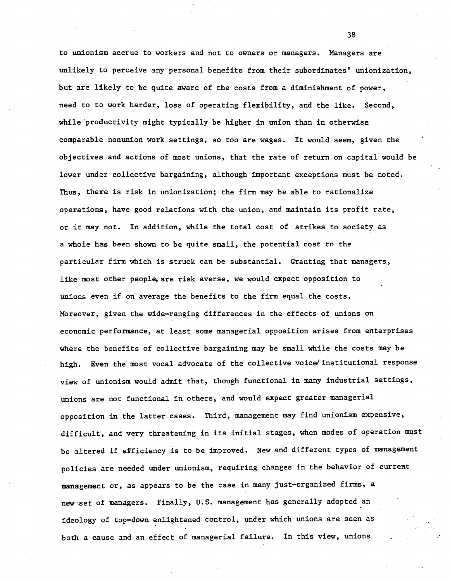to unionism accrue to workers and not to owners or managers. Managers are unlikely to perceive any personal benefits from their subordinates' unionization, but are likely to be quite aware of the costs from a diminishment of power, need to to work harder, loss of operating flexibility, and the like. Second, while 'productivity might typically be higher in union than in otherwise comparable nonunion work settings, so too are wages. It would seem, given the objectives and actions of most unions, that the rate of return on capital would be lower under collective bargaining, although important exceptions must be noted. Thus, there is risk in unionization; the firm may be able to rationalize operations, have good relations with the union, and maintain its profit rate, or it may not. In addition, while the total cost of strikes to society as a whole has been shown to be quite small, the potential cost to the particular firm which is struck can be substantial. Granting that managers, like most other people, are risk averse, we would expect opposition to unions even if on average the benefits to the firm equal the costs. Moreover, given the wide-ranging differences in the effects of unions on economic performance, at least some managerial opposition arises from enterprises where the benefits of collective bargaining may be small while the costs may be high. Even the most vocal advocate of the collective voice/institutional response view of unionism would admit that, though functional in many industrial settings, unions are not functional in others, and would expect greater managerial opposition in the latter cases. Third, management may find unionism expensive, difficult, and very threatening in its initial stages, when modes of operation must be altered if efficiency is to be improved. New and different types of management policies are needed under unionism, requiring changes in the behavior of current management or, as appears to be the case in many just-organized firms, a new 'set of managers. Finally, U.S. management has generally adopted an ideology of top-down enlightened control, under which unions are seen as both a cause and an effect of managerial failure. In this view, unions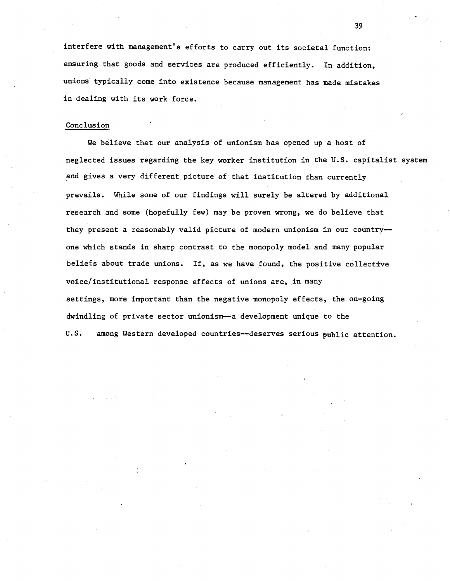interfere with management's efforts to carry out its societal function: ensuring that goods and services are produced efficiently. In addition, unions typically come into existence because management has made mistakes in dealing with its work force.

## Conclusion

We believe that our analysis of unionism has opened up a host of neglected issues regarding the key worker institution in the U.S. capitalist system and gives a very different picture of that institution than currently prevails. While sOme of our findings will surely be altered by additional research and some (hopefully few) may be proven wrong, we do believe that they present a reasonably valid picture of modern unionism in our country- one which stands in sharp contrast to the monopoly model and many popular beliefs about trade unions. If, as we have found, the positive collective voice/institutional response effects of unions are, in many settings, more important than the negative monopoly effects, the on-going dwindling of private sector unionism--a development unique to the U.S. among Western developed countries--deserves serious public attention.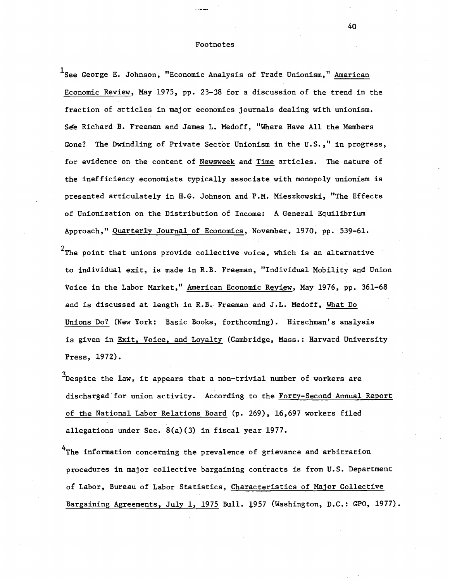#### Footnotes

<sup>1</sup>See George E. Johnson, "Economic Analysis of Trade Unionism," American Economic Review, May 1975, pp. 23-38 for a discussion of the trend in the fraction of articles in major economics journals dealing with unionism. See Richard B. Freeman and James L. Medoff, "Where Have All the Members Gone? The Dwindling of Private Sector Unionism in the U.S.," in progress, for evidence on the content of Newsweek and Time articles. The nature of the inefficiency economists typically associate with monopoly unionism is presented articulately in H.G. Johnson and P.M. Mieszkowski, "The Effects of Unionization on the Distribution of Income: A General Equilibrium Approach," Quarterly Journal of Economics, November, 1970, pp. 539-61.

 $^{2}$ The point that unions provide collective voice, which is an alternative to individual exit, is made in R.B. Freeman, "Individual Mobility and Union Voice in the Labor Market," American Economic Review, May 1976, pp. 361-68 and is discussed at length in R.B. Freeman and J.L. Medoff, What Do Unions Do? (New York: Basic Books, forthcoming). Hirschman's analysis is given in Exit, Voice, and Loyalty (Cambridge, Mass.: Harvard University Press, 1972).

 $3$ Despite the law, it appears that a non-trivial number of workers are discharged 'for union activity. According to the Forty-Second Annual Report of the National Labor Relations Board (p. 269), 16,697 workers filed allegations under Sec. 8(a)(3) in fiscal year 1977.

<sup>4</sup>The information concerning the prevalence of grievance and arbitration procedures in major collective bargaining contracts is from U.S. Department of Labor, Bureau of Labor Statistics, Characteristics of Major Collective Bargaining Agreements, July 1, 1975 Bull. 1957 (Washington, D.C.: GPO, 1977).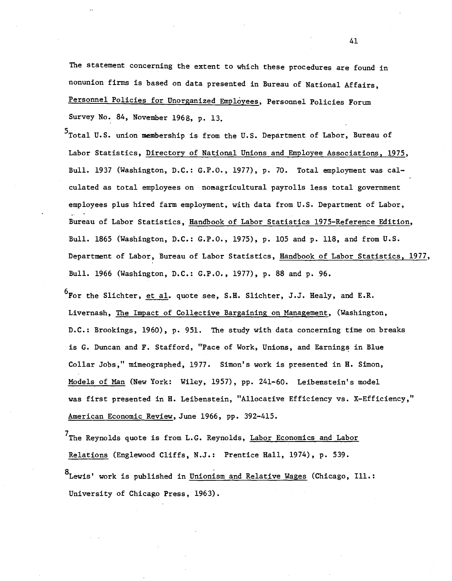The statement concerning the extent to which these procedures are found in nonunion firms is based on data presented in Bureau of National Affairs, Personnel Policies for Unorganized Employees, Personnel Policies Forum Survey No. 84, November 1968, p. 13.

<sup>5</sup>Total U.S. union membership is from the U.S. Department of Labor, Bureau of Labor Statistics, Directory of National Unions and Employee Associations. 1975, Bull. 1937 (Washington, D.C.: G.P.O., 1977), p. 70. Total employment was calculated as total employees on -nonagricultural payrolls less total government employees plus hired farm employment, with data from U.S. Department of Labor, Bureau of Labor Statistics, Handbook of Labor Statistics 1975-Reference Edition, Bull. 1865 (Washington, D.C.: G.P.O., 1975), p. 105 and p. 118, and from U.S. Department of Labor, Bureau of Labor Statistics, Handbook of Labor Statistics, 1977, Bull. 1966 (Washington, D.C.: G.P.O., 1977), p. 88 and p. 96.

<sup>6</sup>For the Slichter, et al. quote see, S.H. Slichter, J.J. Healy, and E.R. Livernash, The Impact of Collective Bargaining on Management, (Washington, D.C.: Brookings, 1960), p. 951. The study with data concerning time on breaks is G. Duncan and F. Stafford, "Pace of Work, Unions, and Earnings in Blue Collar Jobs," mimeographed, 1977. Simon's work is presented in H. Simon, Models of Man (New York: Wiley, 1957), pp. 241-60. Leibenstein's model was first presented in H. Leibenstein, "Allocative Efficiency vs. X-Efficiency," American Economic Review, June 1966, pp. 392-415.

<sup>7</sup>The Reynolds quote is from L.G. Reynolds, Labor Economics and Labor Relations (Englewood Cliffs, N.J.: Prentice Hall, 1974), p. 539. 8<br>Lewis' work is published in <u>Unionism and Relative Wages</u> (Chicago, Ill.: University of Chicago Press, 1963).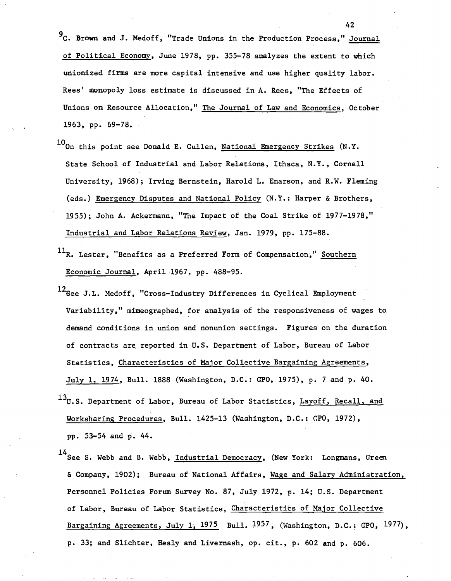<sup>9</sup>C. Brown and J. Medoff, "Trade Unions in the Production Process," Journal of Political Economy. June 1978. pp. 355-78 analyzes the extent to which unionized firms are more capital intensive and use higher quality labor. Rees' monopoly loss estimate is discussed in A. Rees. "The Effects of Unions on Resource Allocation." The Journal of Law and Economics. October 1963, pp. 69-78.

- 10<sub>On</sub> this point see Donald E. Cullen, National Emergency Strikes (N.Y. State School of Industrial and Labor Relations, Ithaca, N.Y., Cornell University, 1968); Irving Bernstein, Harold L. Enarson, and R.W. Fleming (eds.) Emergency Disputes and National Policy (N.Y.: Harper & Brothers, 1955); John A. Ackermann. "The Impact of the Coal Strike of 1977-1978," Industrial and Labor Relations Review, Jan. 1979. pp. 175-88.
- $11<sub>R</sub>$ . Lester, "Benefits as a Preferred Form of Compensation," Southern Economic Journal. April 1967, pp. 488-95.
- 12<sub>See</sub> J.L. Medoff, "Cross-Industry Differences in Cyclical Employment Variability." mimeographed. for analysis of the responsiveness of wages to demand conditions in union and nonunion settings. Figures on the duration of contracts are reported in U.S. Department of Labor, Bureau of Labor Statistics, Characteristics of Major Collective Bargaining Agreements, July 1, 1974, Bull. 1888 (Washington. D.C.: GPO, 1975), p. 7 and p. 40.
- $13_U$ .S. Department of Labor, Bureau of Labor Statistics, Layoff, Recall, and Worksharing Procedures, Bull. 1425-13 (Washington, D.C.: GPO, 1972), pp. 53-54 and p. 44.
- 14<br>See S. Webb and B. Webb, Industrial Democracy, (New York: Longmans, Green & Company, 1902); Bureau of National Affairs, Wage and Salary Administration, Personnel Policies Forum Survey No. 87, July 1972, p. 14; U.S. Department of Labor, Bureau of Labor Statistics, Characteristics of Major Collective Bargaining Agreements, July 1, 1975 Bull. 1957, (Washington, D.C.; GPO, 1977), p. 33; and Slichter, Healy and Livernash, op. cit., p. 602 and p. 606.